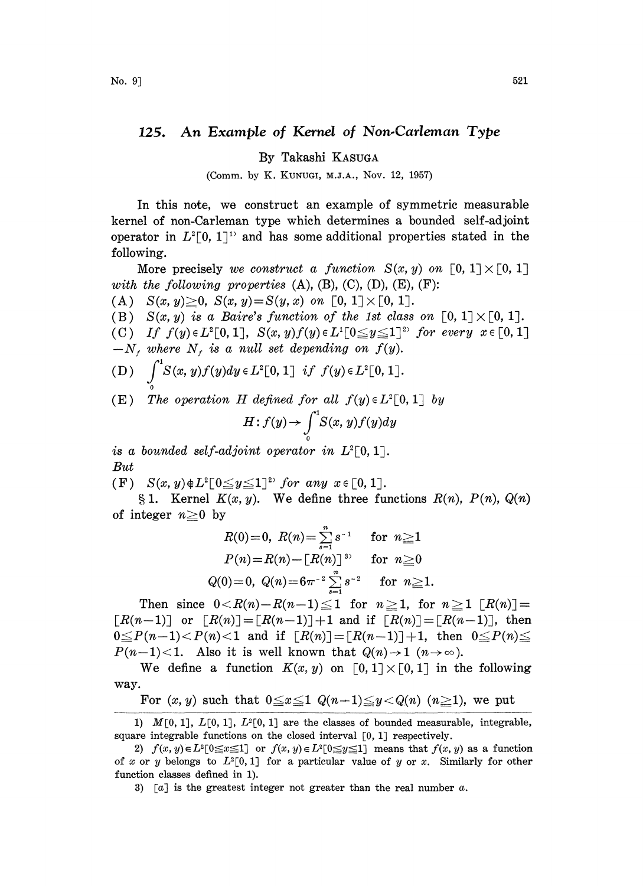## 125. An Example of Kernel of Non.Carleman Type

By Takashi KASUGA

(Comm. by K. KUNUGI, M.J.A., Nov. 12, 1957)

In this note, we construct an example of symmetric measurable kernel of non-Carleman type which determines a bounded self-adjoint operator in  $L^2[0, 1]$ <sup>1</sup> and has some additional properties stated in the following.

More precisely we construct a function  $S(x, y)$  on  $[0, 1] \times [0, 1]$ with the following properties  $(A)$ ,  $(B)$ ,  $(C)$ ,  $(D)$ ,  $(E)$ ,  $(F)$ :

(A.)  $S(x, y) \geq 0$ ,  $S(x, y) = S(y, x)$  on  $[0, 1] \times [0, 1]$ .

(B)  $S(x, y)$  is a Baire's function of the 1st class on  $[0, 1] \times [0, 1]$ .

(C) If  $f(y) \in L^2[0,1]$ ,  $S(x, y)f(y) \in L^1[0 \le y \le 1]$ <sup>2</sup> for every  $x \in [0, 1]$  $-N_f$  where  $N_f$  is a null set depending on  $f(y)$ .

(D)  $\int_{0}^{1} S(x, y)f(y)dy \in L^{2}[0, 1]$  if  $f(y) \in L^{2}[0, 1]$ .

(E) The operation H defined for all  $f(y) \in L^2[0,1]$  by

$$
H: f(y) \to \int_{0}^{1} S(x, y) f(y) dy
$$

is a bounded self-adjoint operator in  $L^2[0,1]$ . But

(F)  $S(x, y) \notin L^2[0 \leq y \leq 1]^{2}$  for any  $x \in [0, 1]$ .

1. Kernel  $K(x, y)$ . We define three functions  $R(n)$ ,  $P(n)$ ,  $Q(n)$ <br>eger  $n \ge 0$  by<br> $R(0)=0$ ,  $R(n) = \sum_{n=0}^{\infty} s^{-1}$  for  $n \ge 1$ of integer  $n \geq 0$  by

$$
R(0)=0, \; R(n)=\sum\limits_{s=1}^{n} s^{-1} \quad \ \ \text{for} \; \; n \geqq 1 \\ P(n)=R(n)-\left[ R(n) \right]^{\; \, 3}, \quad \ \text{for} \; \; n \geqq 0 \\ Q(0)=0, \; Q(n)=6\pi^{-2}\sum\limits_{i=1}^{n} s^{-2} \quad \ \ \text{for} \; \; n \geqq 1.
$$

 $Q(0)=0$ ,  $Q(n)=6\pi^{-2}\sum_{s=1}^{n} s^{-2}$  for  $n\geq 1$ .<br>
Then since  $0 < R(n)-R(n-1) \leq 1$  for  $n \geq 1$ , for  $n \geq 1$   $[R(n)] =$  $\lceil R(n-1) \rceil$  or  $\lceil R(n) \rceil = \lceil R(n-1) \rceil + 1$  and if  $\lceil R(n) \rceil = \lceil R(n-1) \rceil$ , then  $0 \le P(n-1) < P(n) < 1$  and if  $[R(n)] = [R(n-1)]+1$ , then  $0 \le P(n) \le$  $P(n-1)$  < 1. Also it is well known that  $Q(n) \rightarrow 1$   $(n \rightarrow \infty)$ .

We define a function  $K(x, y)$  on  $[0, 1] \times [0, 1]$  in the following way.

For  $(x, y)$  such that  $0 \le x \le 1$   $Q(n-1) \le y < Q(n)$   $(n \ge 1)$ , we put

<sup>1)</sup>  $M[0, 1], L[0, 1], L^{2}[0, 1]$  are the classes of bounded measurable, integrable, square integrable functions on the closed interval  $[0, 1]$  respectively.

<sup>2)</sup>  $f(x, y) \in L^2[0 \le x \le 1]$  or  $f(x, y) \in L^2[0 \le y \le 1]$  means that  $f(x, y)$  as a function of x or y belongs to  $L^2[0,1]$  for a particular value of y or x. Similarly for other function classes defined in 1).

<sup>3) [</sup>a] is the greatest integer not greater than the real number  $a$ .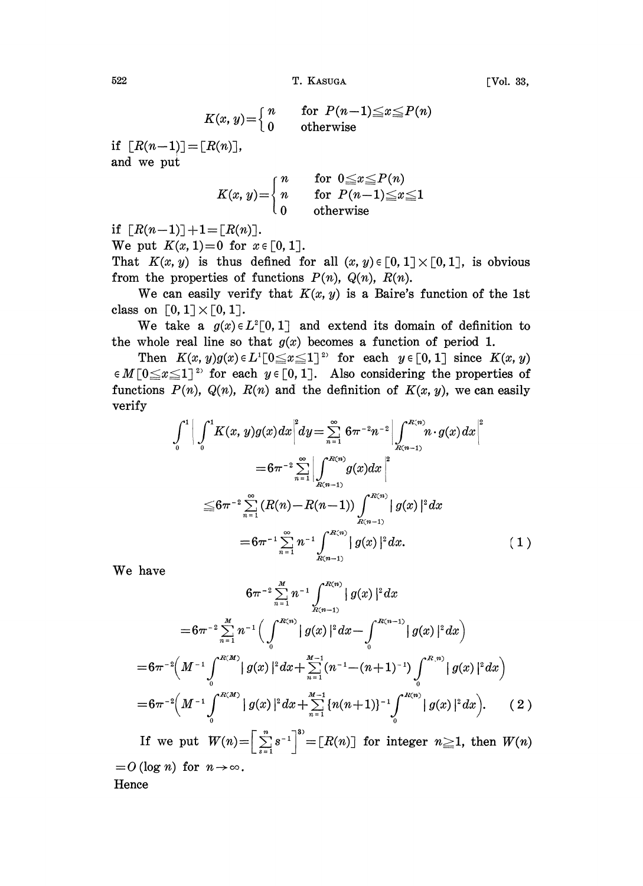T. KASUGA T. KASUGA

$$
K(x, y) = \begin{cases} n \\ 0 \end{cases}
$$

for  $P(n-1) \le x \le P(n)$ otherwise

if  $\lceil R(n-1) \rceil = \lceil R(n) \rceil$ , and we put

$$
K(x, y) = \begin{cases} n & \text{for } 0 \leq x \leq P(n) \\ n & \text{for } P(n-1) \leq x \leq 1 \\ 0 & \text{otherwise} \end{cases}
$$

if  $[R(n-1)] + 1 = [R(n)]$ .

We put  $K(x, 1) = 0$  for  $x \in [0, 1]$ .

That  $K(x, y)$  is thus defined for all  $(x, y) \in [0, 1] \times [0, 1]$ , is obvious from the properties of functions  $P(n)$ ,  $Q(n)$ ,  $R(n)$ .

We can easily verify that  $K(x, y)$  is a Baire's function of the 1st class on  $[0, 1] \times [0, 1]$ .

We take a  $g(x) \in L^2[0, 1]$  and extend its domain of definition to the whole real line so that  $g(x)$  becomes a function of period 1.

Then  $K(x, y)g(x) \in L^1[0 \le x \le 1]^2$  for each  $y \in [0, 1]$  since  $K(x, y)$  $\in M[0 \leq x \leq 1]^2$  for each  $y \in [0, 1]$ . Also considering the properties of functions  $P(n)$ ,  $Q(n)$ ,  $R(n)$  and the definition of  $K(x, y)$ , we can easily verify

$$
\int_{0}^{1} \Big| \int_{0}^{1} K(x, y)g(x) dx \Big|^{2} dy = \sum_{n=1}^{\infty} 6\pi^{-2} n^{-2} \Big| \int_{R(n-1)}^{R(n)} n \cdot g(x) dx \Big|^{2}
$$
  
\n
$$
= 6\pi^{-2} \sum_{n=1}^{\infty} \Big| \int_{R(n-1)}^{R(n)} g(x) dx \Big|^{2}
$$
  
\n
$$
\leq 6\pi^{-2} \sum_{n=1}^{\infty} (R(n) - R(n-1)) \int_{R(n-1)}^{R(n)} |g(x)|^{2} dx
$$
  
\n
$$
= 6\pi^{-1} \sum_{n=1}^{\infty} n^{-1} \int_{R(n-1)}^{R(n)} |g(x)|^{2} dx.
$$
 (1)

We have

$$
6\pi^{-2}\sum_{n=1}^{M}n^{-1}\int_{R(n-1)}^{R(n)}|g(x)|^{2}dx
$$
  
\n
$$
=6\pi^{-2}\sum_{n=1}^{M}n^{-1}\Big(\int_{0}^{R(n)}|g(x)|^{2}dx-\int_{0}^{R(n-1)}|g(x)|^{2}dx\Big)
$$
  
\n
$$
=6\pi^{-2}\Big(M^{-1}\int_{0}^{R(M)}|g(x)|^{2}dx+\sum_{n=1}^{M-1}(n^{-1}-(n+1)^{-1})\int_{0}^{R(n)}|g(x)|^{2}dx\Big)
$$
  
\n
$$
=6\pi^{-2}\Big(M^{-1}\int_{0}^{R(M)}|g(x)|^{2}dx+\sum_{n=1}^{M-1}\left\{n(n+1)\right\}^{-1}\int_{0}^{R(n)}|g(x)|^{2}dx\Big).
$$
 (2)

If we put  $W(n) = \left[\sum_{s=1}^{n} s^{-1}\right]^{3} = [R(n)]$  for integer  $n \ge 1$ , then  $W(n)$ <br>(log *n*) for  $n \to \infty$ .  $=0$  (log *n*) for  $n \rightarrow \infty$ . **Hence** 

$$
522\,
$$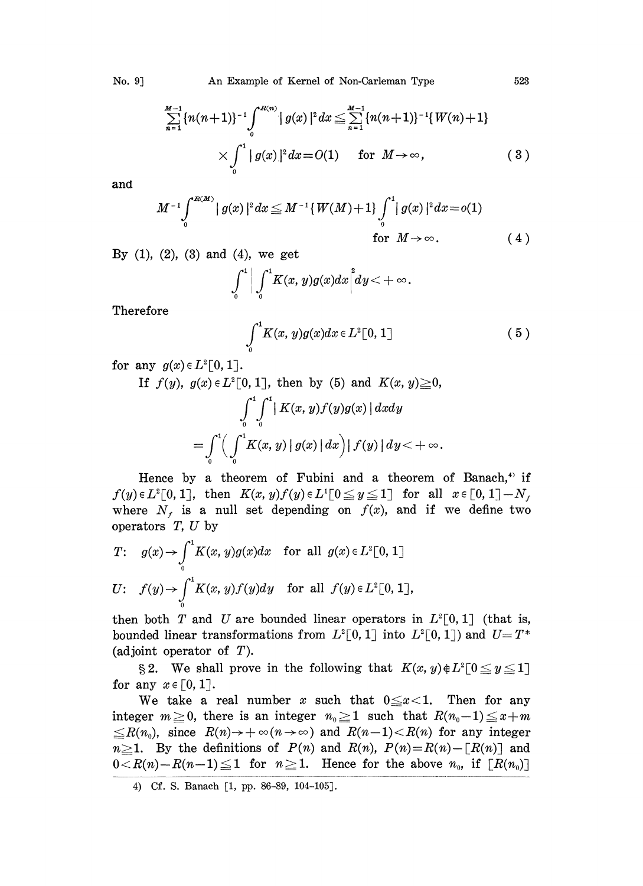$$
\sum_{n=1}^{M-1} \{n(n+1)\}^{-1} \int_{0}^{R(n)} |g(x)|^2 dx \leq \sum_{n=1}^{M-1} \{n(n+1)\}^{-1} \{W(n)+1\} \times \int_{0}^{1} |g(x)|^2 dx = O(1) \quad \text{for } M \to \infty,
$$
 (3)

and

$$
M^{-1} \int_{0}^{R(M)} |g(x)|^2 dx \leq M^{-1} \{W(M) + 1\} \int_{0}^{1} |g(x)|^2 dx = o(1)
$$
  
for  $M \to \infty$ . (4)

By  $(1)$ ,  $(2)$ ,  $(3)$  and  $(4)$ , we get

$$
\int_0^1\bigg|\int_0^1\!K(x,y)g(x)dx\bigg|^2\!dy\!<\!+\infty.
$$

Therefore

$$
\int_0^1 K(x, y)g(x)dx \in L^2[0, 1]
$$
 (5)

for any  $g(x) \in L^2[0, 1].$ 

If 
$$
f(y)
$$
,  $g(x) \in L^2[0, 1]$ , then by (5) and  $K(x, y) \ge 0$ ,  
\n
$$
\int_0^1 \int_0^1 |K(x, y)f(y)g(x)| dx dy
$$
\n
$$
= \int_0^1 \left( \int_0^1 K(x, y) |g(x)| dx \right) |f(y)| dy < +\infty.
$$

Hence by a theorem of Fubini and a theorem of Banach,<sup>4)</sup> if  $f(y) \in L^2[0, 1],$  then  $K(x, y)f(y) \in L^1[0 \le y \le 1]$  for all  $x \in [0, 1] - N_f$ where  $N<sub>f</sub>$  is a null set depending on  $f(x)$ , and if we define two operators  $T$ ,  $U$  by

$$
T: g(x) \to \int_0^1 K(x, y)g(x)dx \text{ for all } g(x) \in L^2[0, 1]
$$
  

$$
U: f(y) \to \int_0^1 K(x, y)f(y)dy \text{ for all } f(y) \in L^2[0, 1],
$$

then both T and U are bounded linear operators in  $L^2[0, 1]$  (that is, bounded linear transformations from  $L^2[0, 1]$  into  $L^2[0, 1]$ ) and  $U=T^*$ (adjoint operator of  $T$ ).

§ 2. We shall prove in the following that  $K(x, y) \notin L^2[0 \le y \le 1]$ for any  $x \in [0, 1]$ .

We take a real number x such that  $0 \le x < 1$ . Then for any integer  $m \geq 0$ , there is an integer  $n_0 \geq 1$  such that  $R(n_0-1) \leq x+m$  $\leq R(n_0)$ , since  $R(n) \to +\infty(n\to\infty)$  and  $R(n-1) < R(n)$  for any integer  $n\geq 1$ . By the definitions of  $P(n)$  and  $R(n)$ ,  $P(n)=R(n)-[R(n)]$  and  $0 < R(n)-R(n-1) \leq 1$  for  $n \geq 1$ . Hence for the above  $n_0$ , if  $[R(n_0)]$ 

4) Cf. S. Banach [1, pp. 86-89, 104-105].